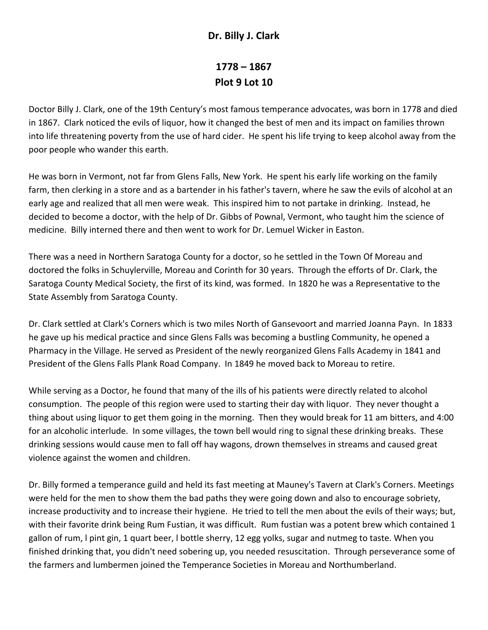## **Dr. Billy J. Clark**

## **1778 – 1867 Plot 9 Lot 10**

Doctor Billy J. Clark, one of the 19th Century's most famous temperance advocates, was born in 1778 and died in 1867. Clark noticed the evils of liquor, how it changed the best of men and its impact on families thrown into life threatening poverty from the use of hard cider. He spent his life trying to keep alcohol away from the poor people who wander this earth.

He was born in Vermont, not far from Glens Falls, New York. He spent his early life working on the family farm, then clerking in a store and as a bartender in his father's tavern, where he saw the evils of alcohol at an early age and realized that all men were weak. This inspired him to not partake in drinking. Instead, he decided to become a doctor, with the help of Dr. Gibbs of Pownal, Vermont, who taught him the science of medicine. Billy interned there and then went to work for Dr. Lemuel Wicker in Easton.

There was a need in Northern Saratoga County for a doctor, so he settled in the Town Of Moreau and doctored the folks in Schuylerville, Moreau and Corinth for 30 years. Through the efforts of Dr. Clark, the Saratoga County Medical Society, the first of its kind, was formed. In 1820 he was a Representative to the State Assembly from Saratoga County.

Dr. Clark settled at Clark's Corners which is two miles North of Gansevoort and married Joanna Payn. In 1833 he gave up his medical practice and since Glens Falls was becoming a bustling Community, he opened a Pharmacy in the Village. He served as President of the newly reorganized Glens Falls Academy in 1841 and President of the Glens Falls Plank Road Company. In 1849 he moved back to Moreau to retire.

While serving as a Doctor, he found that many of the ills of his patients were directly related to alcohol consumption. The people of this region were used to starting their day with liquor. They never thought a thing about using liquor to get them going in the morning. Then they would break for 11 am bitters, and 4:00 for an alcoholic interlude. In some villages, the town bell would ring to signal these drinking breaks. These drinking sessions would cause men to fall off hay wagons, drown themselves in streams and caused great violence against the women and children.

Dr. Billy formed a temperance guild and held its fast meeting at Mauney's Tavern at Clark's Corners. Meetings were held for the men to show them the bad paths they were going down and also to encourage sobriety, increase productivity and to increase their hygiene. He tried to tell the men about the evils of their ways; but, with their favorite drink being Rum Fustian, it was difficult. Rum fustian was a potent brew which contained 1 gallon of rum, l pint gin, 1 quart beer, l bottle sherry, 12 egg yolks, sugar and nutmeg to taste. When you finished drinking that, you didn't need sobering up, you needed resuscitation. Through perseverance some of the farmers and lumbermen joined the Temperance Societies in Moreau and Northumberland.